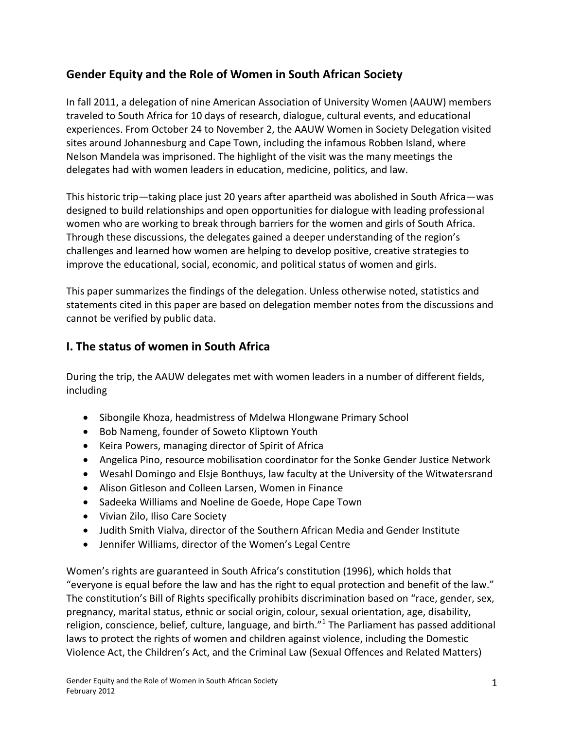# **Gender Equity and the Role of Women in South African Society**

In fall 2011, a delegation of nine American Association of University Women (AAUW) members traveled to South Africa for 10 days of research, dialogue, cultural events, and educational experiences. From October 24 to November 2, the AAUW Women in Society Delegation visited sites around Johannesburg and Cape Town, including the infamous Robben Island, where Nelson Mandela was imprisoned. The highlight of the visit was the many meetings the delegates had with women leaders in education, medicine, politics, and law.

This historic trip—taking place just 20 years after apartheid was abolished in South Africa—was designed to build relationships and open opportunities for dialogue with leading professional women who are working to break through barriers for the women and girls of South Africa. Through these discussions, the delegates gained a deeper understanding of the region's challenges and learned how women are helping to develop positive, creative strategies to improve the educational, social, economic, and political status of women and girls.

This paper summarizes the findings of the delegation. Unless otherwise noted, statistics and statements cited in this paper are based on delegation member notes from the discussions and cannot be verified by public data.

# **I. The status of women in South Africa**

During the trip, the AAUW delegates met with women leaders in a number of different fields, including

- Sibongile Khoza, headmistress of Mdelwa Hlongwane Primary School
- Bob Nameng, founder of Soweto Kliptown Youth
- Keira Powers, managing director of Spirit of Africa
- Angelica Pino, resource mobilisation coordinator for the Sonke Gender Justice Network
- Wesahl Domingo and Elsje Bonthuys, law faculty at the University of the Witwatersrand
- Alison Gitleson and Colleen Larsen, Women in Finance
- Sadeeka Williams and Noeline de Goede, Hope Cape Town
- Vivian Zilo, Iliso Care Society
- Judith Smith Vialva, director of the Southern African Media and Gender Institute
- Jennifer Williams, director of the Women's Legal Centre

Women's rights are guaranteed in South Africa's constitution (1996), which holds that "everyone is equal before the law and has the right to equal protection and benefit of the law." The constitution's Bill of Rights specifically prohibits discrimination based on "race, gender, sex, pregnancy, marital status, ethnic or social origin, colour, sexual orientation, age, disability, religion, conscience, belief, culture, language, and birth."<sup>1</sup> The Parliament has passed additional laws to protect the rights of women and children against violence, including the Domestic Violence Act, the Children's Act, and the Criminal Law (Sexual Offences and Related Matters)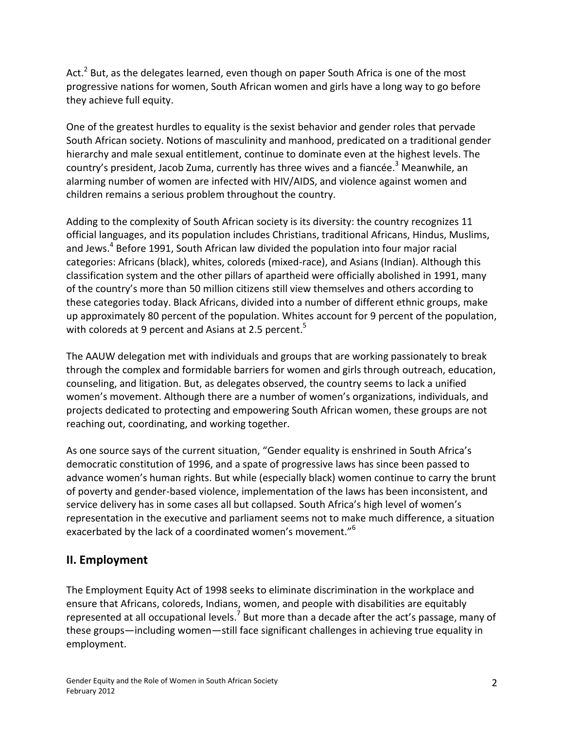Act.<sup>2</sup> But, as the delegates learned, even though on paper South Africa is one of the most progressive nations for women, South African women and girls have a long way to go before they achieve full equity.

One of the greatest hurdles to equality is the sexist behavior and gender roles that pervade South African society. Notions of masculinity and manhood, predicated on a traditional gender hierarchy and male sexual entitlement, continue to dominate even at the highest levels. The country's president, Jacob Zuma, currently has three wives and a fiancée.<sup>3</sup> Meanwhile, an alarming number of women are infected with HIV/AIDS, and violence against women and children remains a serious problem throughout the country.

Adding to the complexity of South African society is its diversity: the country recognizes 11 official languages, and its population includes Christians, traditional Africans, Hindus, Muslims, and Jews.<sup>4</sup> Before 1991, South African law divided the population into four major racial categories: Africans (black), whites, coloreds (mixed-race), and Asians (Indian). Although this classification system and the other pillars of apartheid were officially abolished in 1991, many of the country's more than 50 million citizens still view themselves and others according to these categories today. Black Africans, divided into a number of different ethnic groups, make up approximately 80 percent of the population. Whites account for 9 percent of the population, with coloreds at 9 percent and Asians at 2.5 percent.<sup>5</sup>

The AAUW delegation met with individuals and groups that are working passionately to break through the complex and formidable barriers for women and girls through outreach, education, counseling, and litigation. But, as delegates observed, the country seems to lack a unified women's movement. Although there are a number of women's organizations, individuals, and projects dedicated to protecting and empowering South African women, these groups are not reaching out, coordinating, and working together.

As one source says of the current situation, "Gender equality is enshrined in South Africa's democratic constitution of 1996, and a spate of progressive laws has since been passed to advance women's human rights. But while (especially black) women continue to carry the brunt of poverty and gender-based violence, implementation of the laws has been inconsistent, and service delivery has in some cases all but collapsed. South Africa's high level of women's representation in the executive and parliament seems not to make much difference, a situation exacerbated by the lack of a coordinated women's movement."<sup>6</sup>

## **II. Employment**

The Employment Equity Act of 1998 seeks to eliminate discrimination in the workplace and ensure that Africans, coloreds, Indians, women, and people with disabilities are equitably represented at all occupational levels.<sup>7</sup> But more than a decade after the act's passage, many of these groups—including women—still face significant challenges in achieving true equality in employment.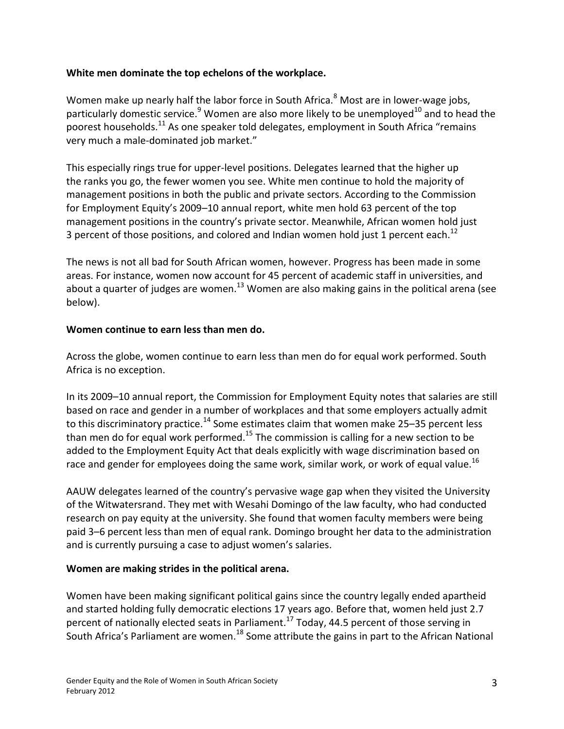### **White men dominate the top echelons of the workplace.**

Women make up nearly half the labor force in South Africa.<sup>8</sup> Most are in lower-wage jobs, particularly domestic service.<sup>9</sup> Women are also more likely to be unemployed<sup>10</sup> and to head the poorest households.<sup>11</sup> As one speaker told delegates, employment in South Africa "remains very much a male-dominated job market."

This especially rings true for upper-level positions. Delegates learned that the higher up the ranks you go, the fewer women you see. White men continue to hold the majority of management positions in both the public and private sectors. According to the Commission for Employment Equity's 2009–10 annual report, white men hold 63 percent of the top management positions in the country's private sector. Meanwhile, African women hold just 3 percent of those positions, and colored and Indian women hold just 1 percent each.<sup>12</sup>

The news is not all bad for South African women, however. Progress has been made in some areas. For instance, women now account for 45 percent of academic staff in universities, and about a quarter of judges are women.<sup>13</sup> Women are also making gains in the political arena (see below).

#### **Women continue to earn less than men do.**

Across the globe, women continue to earn less than men do for equal work performed. South Africa is no exception.

In its 2009–10 annual report, the Commission for Employment Equity notes that salaries are still based on race and gender in a number of workplaces and that some employers actually admit to this discriminatory practice.<sup>14</sup> Some estimates claim that women make 25-35 percent less than men do for equal work performed.<sup>15</sup> The commission is calling for a new section to be added to the Employment Equity Act that deals explicitly with wage discrimination based on race and gender for employees doing the same work, similar work, or work of equal value.<sup>16</sup>

AAUW delegates learned of the country's pervasive wage gap when they visited the University of the Witwatersrand. They met with Wesahi Domingo of the law faculty, who had conducted research on pay equity at the university. She found that women faculty members were being paid 3–6 percent less than men of equal rank. Domingo brought her data to the administration and is currently pursuing a case to adjust women's salaries.

### **Women are making strides in the political arena.**

Women have been making significant political gains since the country legally ended apartheid and started holding fully democratic elections 17 years ago. Before that, women held just 2.7 percent of nationally elected seats in Parliament.<sup>17</sup> Today, 44.5 percent of those serving in South Africa's Parliament are women.<sup>18</sup> Some attribute the gains in part to the African National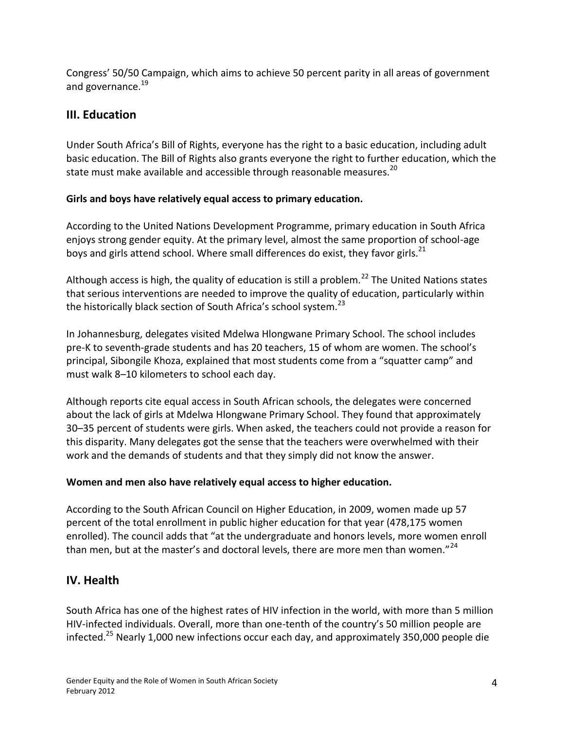Congress' 50/50 Campaign, which aims to achieve 50 percent parity in all areas of government and governance.<sup>19</sup>

# **III. Education**

Under South Africa's Bill of Rights, everyone has the right to a basic education, including adult basic education. The Bill of Rights also grants everyone the right to further education, which the state must make available and accessible through reasonable measures.<sup>20</sup>

### **Girls and boys have relatively equal access to primary education.**

According to the United Nations Development Programme, primary education in South Africa enjoys strong gender equity. At the primary level, almost the same proportion of school-age boys and girls attend school. Where small differences do exist, they favor girls.<sup>21</sup>

Although access is high, the quality of education is still a problem.<sup>22</sup> The United Nations states that serious interventions are needed to improve the quality of education, particularly within the historically black section of South Africa's school system.<sup>23</sup>

In Johannesburg, delegates visited Mdelwa Hlongwane Primary School. The school includes pre-K to seventh-grade students and has 20 teachers, 15 of whom are women. The school's principal, Sibongile Khoza, explained that most students come from a "squatter camp" and must walk 8–10 kilometers to school each day.

Although reports cite equal access in South African schools, the delegates were concerned about the lack of girls at Mdelwa Hlongwane Primary School. They found that approximately 30–35 percent of students were girls. When asked, the teachers could not provide a reason for this disparity. Many delegates got the sense that the teachers were overwhelmed with their work and the demands of students and that they simply did not know the answer.

### **Women and men also have relatively equal access to higher education.**

According to the South African Council on Higher Education, in 2009, women made up 57 percent of the total enrollment in public higher education for that year (478,175 women enrolled). The council adds that "at the undergraduate and honors levels, more women enroll than men, but at the master's and doctoral levels, there are more men than women."<sup>24</sup>

# **IV. Health**

South Africa has one of the highest rates of HIV infection in the world, with more than 5 million HIV-infected individuals. Overall, more than one-tenth of the country's 50 million people are infected.<sup>25</sup> Nearly 1,000 new infections occur each day, and approximately 350,000 people die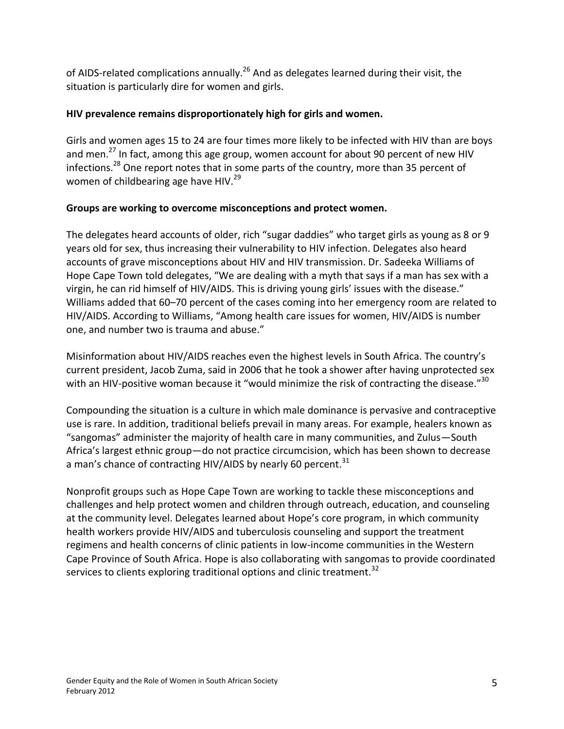of AIDS-related complications annually.<sup>26</sup> And as delegates learned during their visit, the situation is particularly dire for women and girls.

### **HIV prevalence remains disproportionately high for girls and women.**

Girls and women ages 15 to 24 are four times more likely to be infected with HIV than are boys and men.<sup>27</sup> In fact, among this age group, women account for about 90 percent of new HIV infections.<sup>28</sup> One report notes that in some parts of the country, more than 35 percent of women of childbearing age have HIV.<sup>29</sup>

#### **Groups are working to overcome misconceptions and protect women.**

The delegates heard accounts of older, rich "sugar daddies" who target girls as young as 8 or 9 years old for sex, thus increasing their vulnerability to HIV infection. Delegates also heard accounts of grave misconceptions about HIV and HIV transmission. Dr. Sadeeka Williams of Hope Cape Town told delegates, "We are dealing with a myth that says if a man has sex with a virgin, he can rid himself of HIV/AIDS. This is driving young girls' issues with the disease." Williams added that 60–70 percent of the cases coming into her emergency room are related to HIV/AIDS. According to Williams, "Among health care issues for women, HIV/AIDS is number one, and number two is trauma and abuse."

Misinformation about HIV/AIDS reaches even the highest levels in South Africa. The country's current president, Jacob Zuma, said in 2006 that he took a shower after having unprotected sex with an HIV-positive woman because it "would minimize the risk of contracting the disease."<sup>30</sup>

Compounding the situation is a culture in which male dominance is pervasive and contraceptive use is rare. In addition, traditional beliefs prevail in many areas. For example, healers known as "sangomas" administer the majority of health care in many communities, and Zulus—South Africa's largest ethnic group—do not practice circumcision, which has been shown to decrease a man's chance of contracting HIV/AIDS by nearly 60 percent.<sup>31</sup>

Nonprofit groups such as Hope Cape Town are working to tackle these misconceptions and challenges and help protect women and children through outreach, education, and counseling at the community level. Delegates learned about Hope's core program, in which community health workers provide HIV/AIDS and tuberculosis counseling and support the treatment regimens and health concerns of clinic patients in low-income communities in the Western Cape Province of South Africa. Hope is also collaborating with sangomas to provide coordinated services to clients exploring traditional options and clinic treatment.<sup>32</sup>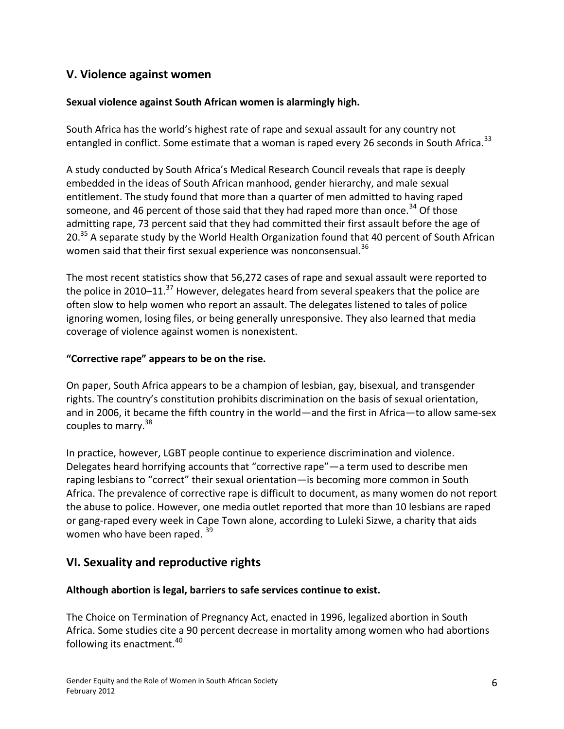## **V. Violence against women**

#### **Sexual violence against South African women is alarmingly high.**

South Africa has the world's highest rate of rape and sexual assault for any country not entangled in conflict. Some estimate that a woman is raped every 26 seconds in South Africa.<sup>33</sup>

A study conducted by South Africa's Medical Research Council reveals that rape is deeply embedded in the ideas of South African manhood, gender hierarchy, and male sexual entitlement. The study found that more than a quarter of men admitted to having raped someone, and 46 percent of those said that they had raped more than once.<sup>34</sup> Of those admitting rape, 73 percent said that they had committed their first assault before the age of 20.<sup>35</sup> A separate study by the World Health Organization found that 40 percent of South African women said that their first sexual experience was nonconsensual.<sup>36</sup>

The most recent statistics show that 56,272 cases of rape and sexual assault were reported to the police in 2010–11. $^{37}$  However, delegates heard from several speakers that the police are often slow to help women who report an assault. The delegates listened to tales of police ignoring women, losing files, or being generally unresponsive. They also learned that media coverage of violence against women is nonexistent.

### **"Corrective rape" appears to be on the rise.**

On paper, South Africa appears to be a champion of lesbian, gay, bisexual, and transgender rights. The country's constitution prohibits discrimination on the basis of sexual orientation, and in 2006, it became the fifth country in the world—and the first in Africa—to allow same-sex couples to marry.<sup>38</sup>

In practice, however, LGBT people continue to experience discrimination and violence. Delegates heard horrifying accounts that "corrective rape"—a term used to describe men raping lesbians to "correct" their sexual orientation—is becoming more common in South Africa. The prevalence of corrective rape is difficult to document, as many women do not report the abuse to police. However, one media outlet reported that more than 10 lesbians are raped or gang-raped every week in Cape Town alone, according to Luleki Sizwe, a charity that aids women who have been raped. 39

# **VI. Sexuality and reproductive rights**

#### **Although abortion is legal, barriers to safe services continue to exist.**

The Choice on Termination of Pregnancy Act, enacted in 1996, legalized abortion in South Africa. Some studies cite a 90 percent decrease in mortality among women who had abortions following its enactment.<sup>40</sup>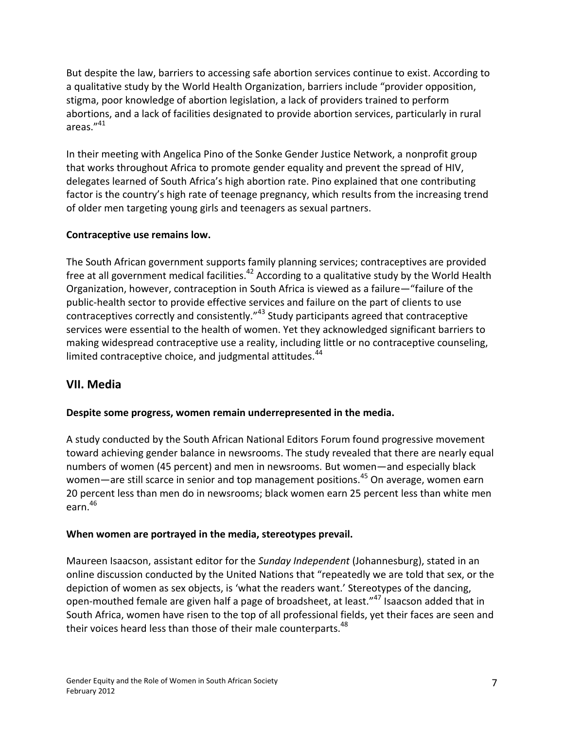But despite the law, barriers to accessing safe abortion services continue to exist. According to a qualitative study by the World Health Organization, barriers include "provider opposition, stigma, poor knowledge of abortion legislation, a lack of providers trained to perform abortions, and a lack of facilities designated to provide abortion services, particularly in rural areas."<sup>41</sup>

In their meeting with Angelica Pino of the Sonke Gender Justice Network, a nonprofit group that works throughout Africa to promote gender equality and prevent the spread of HIV, delegates learned of South Africa's high abortion rate. Pino explained that one contributing factor is the country's high rate of teenage pregnancy, which results from the increasing trend of older men targeting young girls and teenagers as sexual partners.

### **Contraceptive use remains low.**

The South African government supports family planning services; contraceptives are provided free at all government medical facilities.<sup>42</sup> According to a qualitative study by the World Health Organization, however, contraception in South Africa is viewed as a failure—"failure of the public-health sector to provide effective services and failure on the part of clients to use contraceptives correctly and consistently."<sup>43</sup> Study participants agreed that contraceptive services were essential to the health of women. Yet they acknowledged significant barriers to making widespread contraceptive use a reality, including little or no contraceptive counseling, limited contraceptive choice, and judgmental attitudes.<sup>44</sup>

## **VII. Media**

### **Despite some progress, women remain underrepresented in the media.**

A study conducted by the South African National Editors Forum found progressive movement toward achieving gender balance in newsrooms. The study revealed that there are nearly equal numbers of women (45 percent) and men in newsrooms. But women—and especially black women—are still scarce in senior and top management positions.<sup>45</sup> On average, women earn 20 percent less than men do in newsrooms; black women earn 25 percent less than white men earn. 46

### **When women are portrayed in the media, stereotypes prevail.**

Maureen Isaacson, assistant editor for the *Sunday Independent* (Johannesburg), stated in an online discussion conducted by the United Nations that "repeatedly we are told that sex, or the depiction of women as sex objects, is 'what the readers want.' Stereotypes of the dancing, open-mouthed female are given half a page of broadsheet, at least."<sup>47</sup> Isaacson added that in South Africa, women have risen to the top of all professional fields, yet their faces are seen and their voices heard less than those of their male counterparts. $48$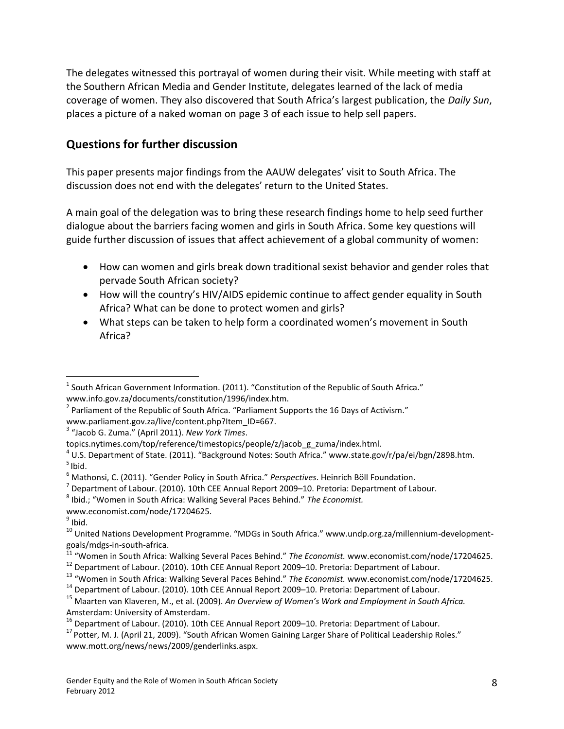The delegates witnessed this portrayal of women during their visit. While meeting with staff at the Southern African Media and Gender Institute, delegates learned of the lack of media coverage of women. They also discovered that South Africa's largest publication, the *Daily Sun*, places a picture of a naked woman on page 3 of each issue to help sell papers.

## **Questions for further discussion**

This paper presents major findings from the AAUW delegates' visit to South Africa. The discussion does not end with the delegates' return to the United States.

A main goal of the delegation was to bring these research findings home to help seed further dialogue about the barriers facing women and girls in South Africa. Some key questions will guide further discussion of issues that affect achievement of a global community of women:

- How can women and girls break down traditional sexist behavior and gender roles that pervade South African society?
- How will the country's HIV/AIDS epidemic continue to affect gender equality in South Africa? What can be done to protect women and girls?
- What steps can be taken to help form a coordinated women's movement in South Africa?

 $^2$  Parliament of the Republic of South Africa. "Parliament Supports the 16 Days of Activism." www.parliament.gov.za/live/content.php?Item\_ID=667.

3 "Jacob G. Zuma." (April 2011). *New York Times*.

 $\overline{a}$ 

- <sup>11</sup> "Women in South Africa: Walking Several Paces Behind." *The Economist.* www.economist.com/node/17204625.
- <sup>12</sup> Department of Labour. (2010). 10th CEE Annual Report 2009–10. Pretoria: Department of Labour.

 $^1$  South African Government Information. (2011). "Constitution of the Republic of South Africa." www.info.gov.za/documents/constitution/1996/index.htm.

topics.nytimes.com/top/reference/timestopics/people/z/jacob\_g\_zuma/index.html.

<sup>&</sup>lt;sup>4</sup> U.S. Department of State. (2011). "Background Notes: South Africa." www.state.gov/r/pa/ei/bgn/2898.htm.  $<sup>5</sup>$  Ibid.</sup>

<sup>6</sup> Mathonsi, C. (2011). "Gender Policy in South Africa." *Perspectives*. Heinrich Böll Foundation.

 $^7$  Department of Labour. (2010). 10th CEE Annual Report 2009–10. Pretoria: Department of Labour.

<sup>8</sup> Ibid.; "Women in South Africa: Walking Several Paces Behind." *The Economist.* 

www.economist.com/node/17204625.

<sup>&</sup>lt;sup>9</sup> Ibid.

<sup>&</sup>lt;sup>10</sup> United Nations Development Programme. "MDGs in South Africa." www.undp.org.za/millennium-developmentgoals/mdgs-in-south-africa.

<sup>13</sup> "Women in South Africa: Walking Several Paces Behind." *The Economist.* www.economist.com/node/17204625.

<sup>&</sup>lt;sup>14</sup> Department of Labour. (2010). 10th CEE Annual Report 2009–10. Pretoria: Department of Labour.

<sup>15</sup> Maarten van Klaveren, M., et al. (2009). *An Overview of Women's Work and Employment in South Africa.*  Amsterdam: University of Amsterdam.

<sup>&</sup>lt;sup>16</sup> Department of Labour. (2010). 10th CEE Annual Report 2009–10. Pretoria: Department of Labour.

<sup>&</sup>lt;sup>17</sup> Potter, M. J. (April 21, 2009). "South African Women Gaining Larger Share of Political Leadership Roles." www.mott.org/news/news/2009/genderlinks.aspx.